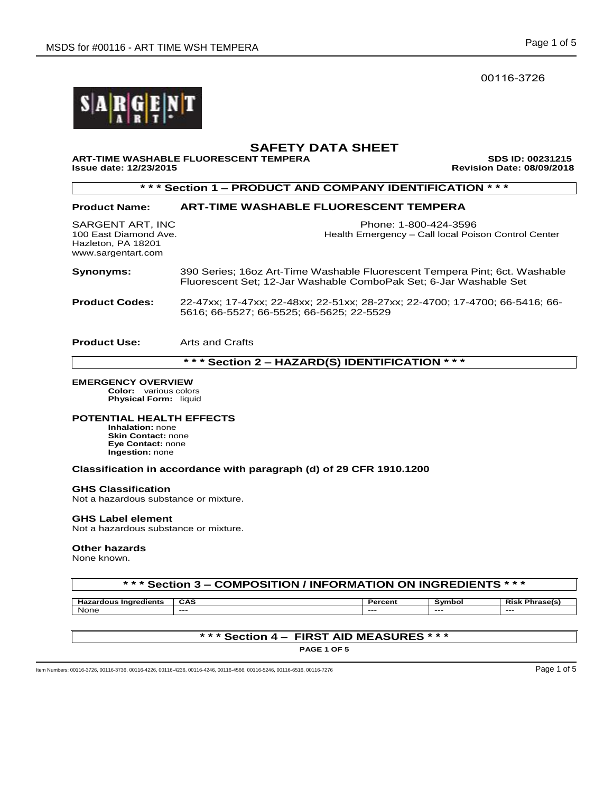00116-3726



# **SAFETY DATA SHEET**

**ART-TIME WASHABLE FLUORESCENT TEMPERA SDS ID: 00231215** 

**Issue date: 12/23/2015 Revision Date: 08/09/2018** 

**\* \* \* Section 1 – PRODUCT AND COMPANY IDENTIFICATION \* \* \***

## **Product Name: ART-TIME WASHABLE FLUORESCENT TEMPERA**

Hazleton, PA 18201 www.sargentart.com

SARGENT ART, INC Phone: 1-800-424-3596 100 East Diamond Ave. Health Emergency – Call local Poison Control Center

**Synonyms:** 390 Series; 16oz Art-Time Washable Fluorescent Tempera Pint; 6ct. Washable Fluorescent Set; 12-Jar Washable ComboPak Set; 6-Jar Washable Set

**Product Codes:** 22-47xx; 17-47xx; 22-48xx; 22-51xx; 28-27xx; 22-4700; 17-4700; 66-5416; 66- 5616; 66-5527; 66-5525; 66-5625; 22-5529

**Product Use:** Arts and Crafts

**\* \* \* Section 2 – HAZARD(S) IDENTIFICATION \* \* \***

## **EMERGENCY OVERVIEW**

**Color:** various colors **Physical Form:** liquid

## **POTENTIAL HEALTH EFFECTS**

**Inhalation:** none **Skin Contact:** none **Eye Contact:** none **Ingestion:** none

## **Classification in accordance with paragraph (d) of 29 CFR 1910.1200**

## **GHS Classification**

Not a hazardous substance or mixture.

## **GHS Label element**

Not a hazardous substance or mixture.

## **Other hazards**

None known.

| *** Section 3 – COMPOSITION / INFORMATION ON INGREDIENTS * * * |            |         |        |                       |  |
|----------------------------------------------------------------|------------|---------|--------|-----------------------|--|
|                                                                |            |         |        |                       |  |
| <b>Hazardous Ingredients</b>                                   | <b>CAS</b> | Percent | Symbol | <b>Risk Phrase(s)</b> |  |
| None                                                           | $--$       | $- - -$ | $---$  | ----                  |  |

## **\* \* \* Section 4 – FIRST AID MEASURES \* \* \***

**PAGE 1 OF 5**

Item Numbers: 00116-3726, 00116-3736, 00116-4226, 00116-4236, 00116-4246, 00116-4566, 00116-5246, 00116-5246, 00116-6516, 00116-6516, 00116-7276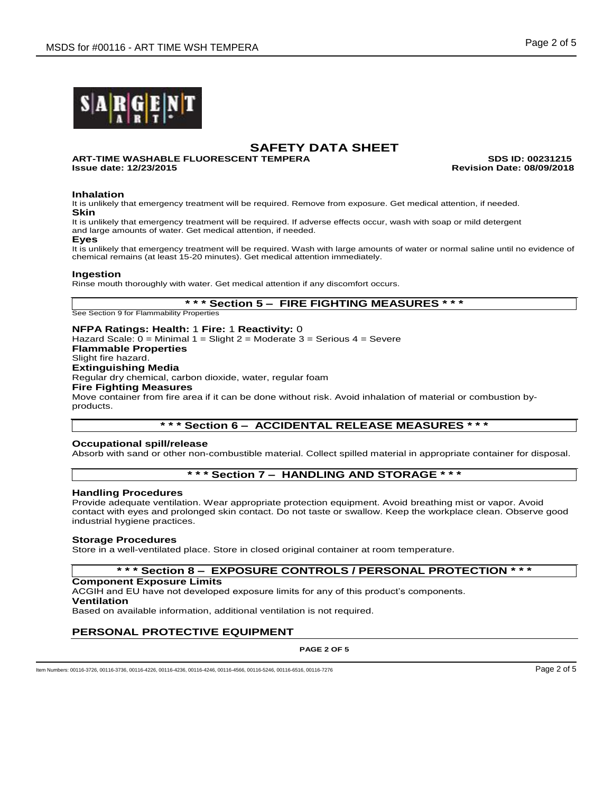

**ART-TIME WASHABLE FLUORESCENT TEMPERA SDS ID: 00231215 Issue date: 12/23/2015 Revision Date: 08/09/2018**

## **Inhalation**

It is unlikely that emergency treatment will be required. Remove from exposure. Get medical attention, if needed. **Skin**

It is unlikely that emergency treatment will be required. If adverse effects occur, wash with soap or mild detergent and large amounts of water. Get medical attention, if needed.

#### **Eyes**

It is unlikely that emergency treatment will be required. Wash with large amounts of water or normal saline until no evidence of chemical remains (at least 15-20 minutes). Get medical attention immediately.

## **Ingestion**

Rinse mouth thoroughly with water. Get medical attention if any discomfort occurs.

## **\* \* \* Section 5 – FIRE FIGHTING MEASURES \* \* \***

See Section 9 for Flammability Properties

## **NFPA Ratings: Health:** 1 **Fire:** 1 **Reactivity:** 0

Hazard Scale: 0 = Minimal 1 = Slight 2 = Moderate 3 = Serious 4 = Severe **Flammable Properties** Slight fire hazard. **Extinguishing Media** Regular dry chemical, carbon dioxide, water, regular foam **Fire Fighting Measures**

Move container from fire area if it can be done without risk. Avoid inhalation of material or combustion byproducts.

## **\* \* \* Section 6 – ACCIDENTAL RELEASE MEASURES \* \* \***

## **Occupational spill/release**

Absorb with sand or other non-combustible material. Collect spilled material in appropriate container for disposal.

## **\* \* \* Section 7 – HANDLING AND STORAGE \* \* \***

## **Handling Procedures**

Provide adequate ventilation. Wear appropriate protection equipment. Avoid breathing mist or vapor. Avoid contact with eyes and prolonged skin contact. Do not taste or swallow. Keep the workplace clean. Observe good industrial hygiene practices.

## **Storage Procedures**

Store in a well-ventilated place. Store in closed original container at room temperature.

## **\* \* \* Section 8 – EXPOSURE CONTROLS / PERSONAL PROTECTION \* \* \***

#### **Component Exposure Limits**

ACGIH and EU have not developed exposure limits for any of this product's components. **Ventilation**

Based on available information, additional ventilation is not required.

## **PERSONAL PROTECTIVE EQUIPMENT**

**PAGE 2 OF 5**

ltem Numbers: 00116-3726, 00116-3736, 00116-4226, 00116-4236, 00116-4246, 00116-4566, 00116-5246, 00116-6516, 00116-6516, 00116-6516, 00116-7276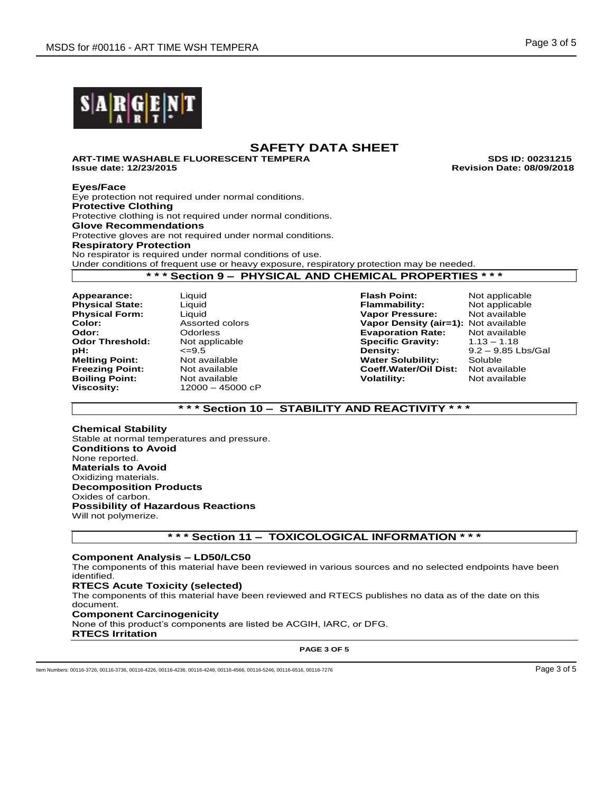

**ART-TIME WASHABLE FLUORESCENT TEMPERA SDS ID: 00231215 Issue date: 12/23/2015 Revision Date: 08/09/2018**

## **Eyes/Face**

Eye protection not required under normal conditions. **Protective Clothing** Protective clothing is not required under normal conditions. **Glove Recommendations** Protective gloves are not required under normal conditions. **Respiratory Protection** No respirator is required under normal conditions of use. Under conditions of frequent use or heavy exposure, respiratory protection may be needed. **\* \* \* Section 9 – PHYSICAL AND CHEMICAL PROPERTIES \* \* \***

**Boiling Point: Viscosity:** 12000 – 45000 cP

**Appearance:** Liquid **Flash Point:** Not applicable **Physical State:** Liquid **Flammability:** Not applicable **Vapor Pressure: Color:** Assorted colors **Vapor Density (air=1):** Not available<br> **Color:** Colorless Colors **Color Evaporation Rate:** Not available **Odor:** Odorless **Contains Constanting Evaporation Rate:** Not available **Constanting Constanting Constanting Constanting Constanting Constanting Odor Threshold: 1.13 – 1.18** Not applicable **Specific Gravity:** 1.13 **Specific Gravity: pH:**  $\leq$ =9.5 <br>**Melting Point:** Not available **Density:** 9.2 – 9.85 Lbs/Gal **Melting Point: Melting Point:** Not available **Water Solubility:** Soluble **Freezing Point:** Not available **Coeff.Water/Oil Dist:** Not available

## **\* \* \* Section 10 – STABILITY AND REACTIVITY \* \* \***

**Chemical Stability** Stable at normal temperatures and pressure. **Conditions to Avoid** None reported. **Materials to Avoid** Oxidizing materials. **Decomposition Products** Oxides of carbon. **Possibility of Hazardous Reactions** Will not polymerize.

## **\* \* \* Section 11 – TOXICOLOGICAL INFORMATION \* \* \***

## **Component Analysis – LD50/LC50**

The components of this material have been reviewed in various sources and no selected endpoints have been identified.

## **RTECS Acute Toxicity (selected)**

The components of this material have been reviewed and RTECS publishes no data as of the date on this document.

## **Component Carcinogenicity**

None of this product's components are listed be ACGIH, IARC, or DFG.

**RTECS Irritation**

**PAGE 3 OF 5**

ltem Numbers: 00116-3726, 00116-3736, 00116-4226, 00116-4236, 00116-4246, 00116-4566, 00116-5246, 00116-6516, 00116-6516, 00116-6516, 00116-7276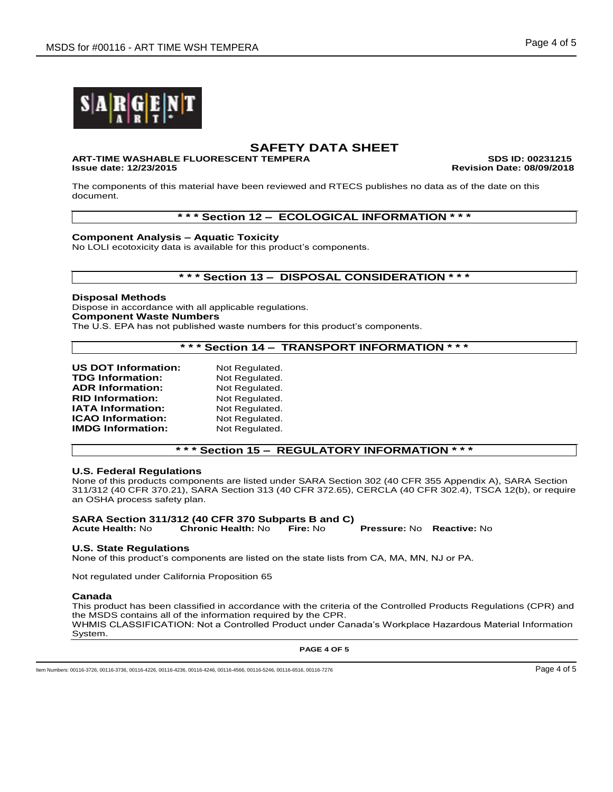

# **ART-TIME WASHABLE FLUORESCENT TEMPERA SDS ID: 00231215**

**Issue date: 12/23/2015 Revision Date: 08/09/2018**

The components of this material have been reviewed and RTECS publishes no data as of the date on this document.

## **\* \* \* Section 12 – ECOLOGICAL INFORMATION \* \* \***

**Component Analysis – Aquatic Toxicity**

No LOLI ecotoxicity data is available for this product's components.

## **\* \* \* Section 13 – DISPOSAL CONSIDERATION \* \* \***

## **Disposal Methods**

Dispose in accordance with all applicable regulations. **Component Waste Numbers**

The U.S. EPA has not published waste numbers for this product's components.

## **\* \* \* Section 14 – TRANSPORT INFORMATION \* \* \***

| <b>US DOT Information:</b> | Not Regulated. |
|----------------------------|----------------|
| <b>TDG Information:</b>    | Not Regulated. |
| <b>ADR Information:</b>    | Not Regulated. |
| <b>RID Information:</b>    | Not Regulated. |
| <b>IATA Information:</b>   | Not Regulated. |
| <b>ICAO Information:</b>   | Not Regulated. |
| <b>IMDG Information:</b>   | Not Regulated. |

## **\* \* \* Section 15 – REGULATORY INFORMATION \* \* \***

## **U.S. Federal Regulations**

None of this products components are listed under SARA Section 302 (40 CFR 355 Appendix A), SARA Section 311/312 (40 CFR 370.21), SARA Section 313 (40 CFR 372.65), CERCLA (40 CFR 302.4), TSCA 12(b), or require an OSHA process safety plan.

# **SARA Section 311/312 (40 CFR 370 Subparts B and C)**

**Acute Health:** No **Chronic Health:** No **Fire:** No **Pressure:** No **Reactive:** No

## **U.S. State Regulations**

None of this product's components are listed on the state lists from CA, MA, MN, NJ or PA.

Not regulated under California Proposition 65

#### **Canada**

This product has been classified in accordance with the criteria of the Controlled Products Regulations (CPR) and the MSDS contains all of the information required by the CPR. WHMIS CLASSIFICATION: Not a Controlled Product under Canada's Workplace Hazardous Material Information System.

**PAGE 4 OF 5**

Item Numbers: 00116-3726, 00116-3736, 00116-4226, 00116-4236, 00116-4246, 00116-4566, 00116-5246, 00116-6516, 00116-6516, 00116-6516, 00116-7276